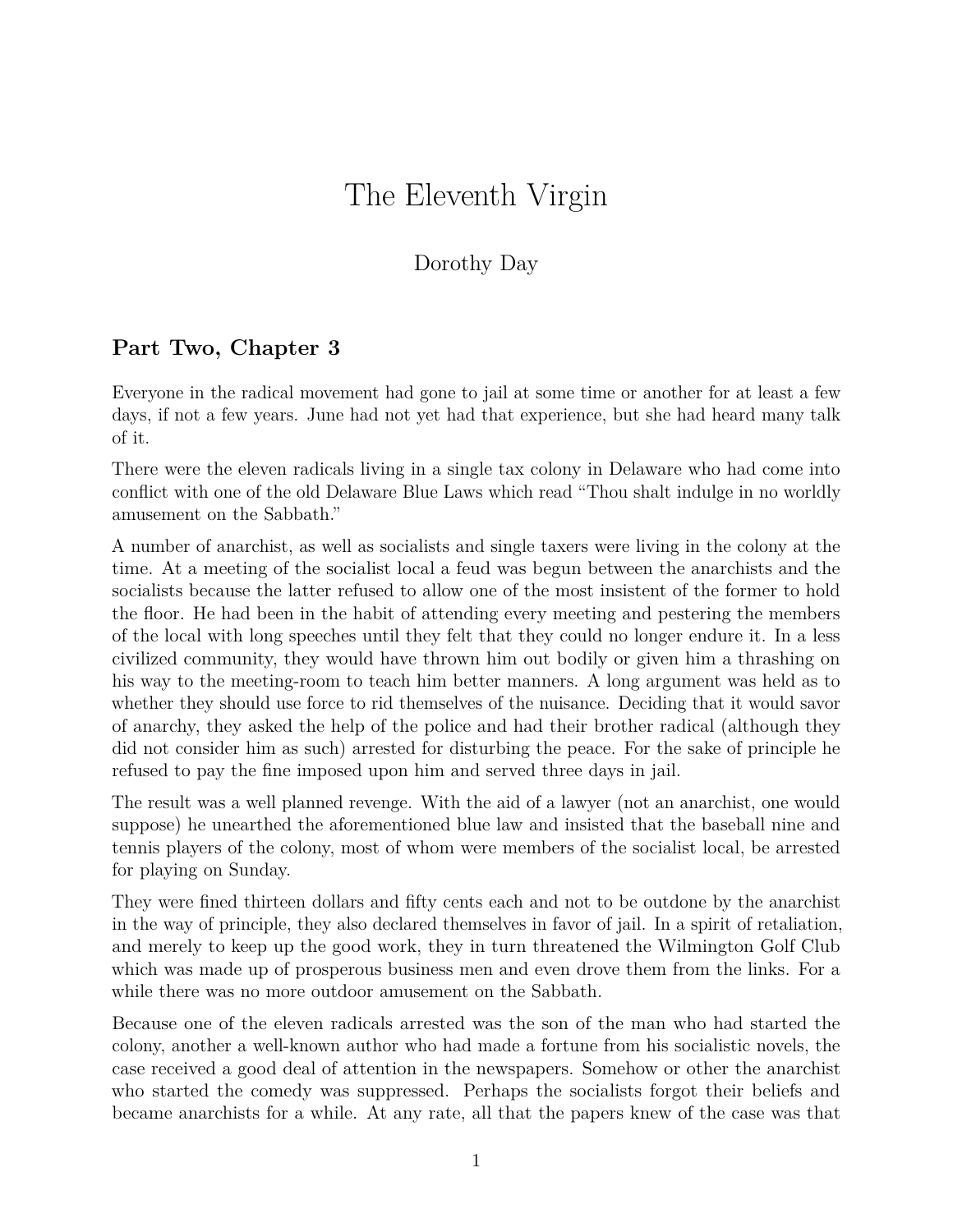## The Eleventh Virgin

## Dorothy Day

## **Part Two, Chapter 3**

Everyone in the radical movement had gone to jail at some time or another for at least a few days, if not a few years. June had not yet had that experience, but she had heard many talk of it.

There were the eleven radicals living in a single tax colony in Delaware who had come into conflict with one of the old Delaware Blue Laws which read "Thou shalt indulge in no worldly amusement on the Sabbath."

A number of anarchist, as well as socialists and single taxers were living in the colony at the time. At a meeting of the socialist local a feud was begun between the anarchists and the socialists because the latter refused to allow one of the most insistent of the former to hold the floor. He had been in the habit of attending every meeting and pestering the members of the local with long speeches until they felt that they could no longer endure it. In a less civilized community, they would have thrown him out bodily or given him a thrashing on his way to the meeting-room to teach him better manners. A long argument was held as to whether they should use force to rid themselves of the nuisance. Deciding that it would savor of anarchy, they asked the help of the police and had their brother radical (although they did not consider him as such) arrested for disturbing the peace. For the sake of principle he refused to pay the fine imposed upon him and served three days in jail.

The result was a well planned revenge. With the aid of a lawyer (not an anarchist, one would suppose) he unearthed the aforementioned blue law and insisted that the baseball nine and tennis players of the colony, most of whom were members of the socialist local, be arrested for playing on Sunday.

They were fined thirteen dollars and fifty cents each and not to be outdone by the anarchist in the way of principle, they also declared themselves in favor of jail. In a spirit of retaliation, and merely to keep up the good work, they in turn threatened the Wilmington Golf Club which was made up of prosperous business men and even drove them from the links. For a while there was no more outdoor amusement on the Sabbath.

Because one of the eleven radicals arrested was the son of the man who had started the colony, another a well-known author who had made a fortune from his socialistic novels, the case received a good deal of attention in the newspapers. Somehow or other the anarchist who started the comedy was suppressed. Perhaps the socialists forgot their beliefs and became anarchists for a while. At any rate, all that the papers knew of the case was that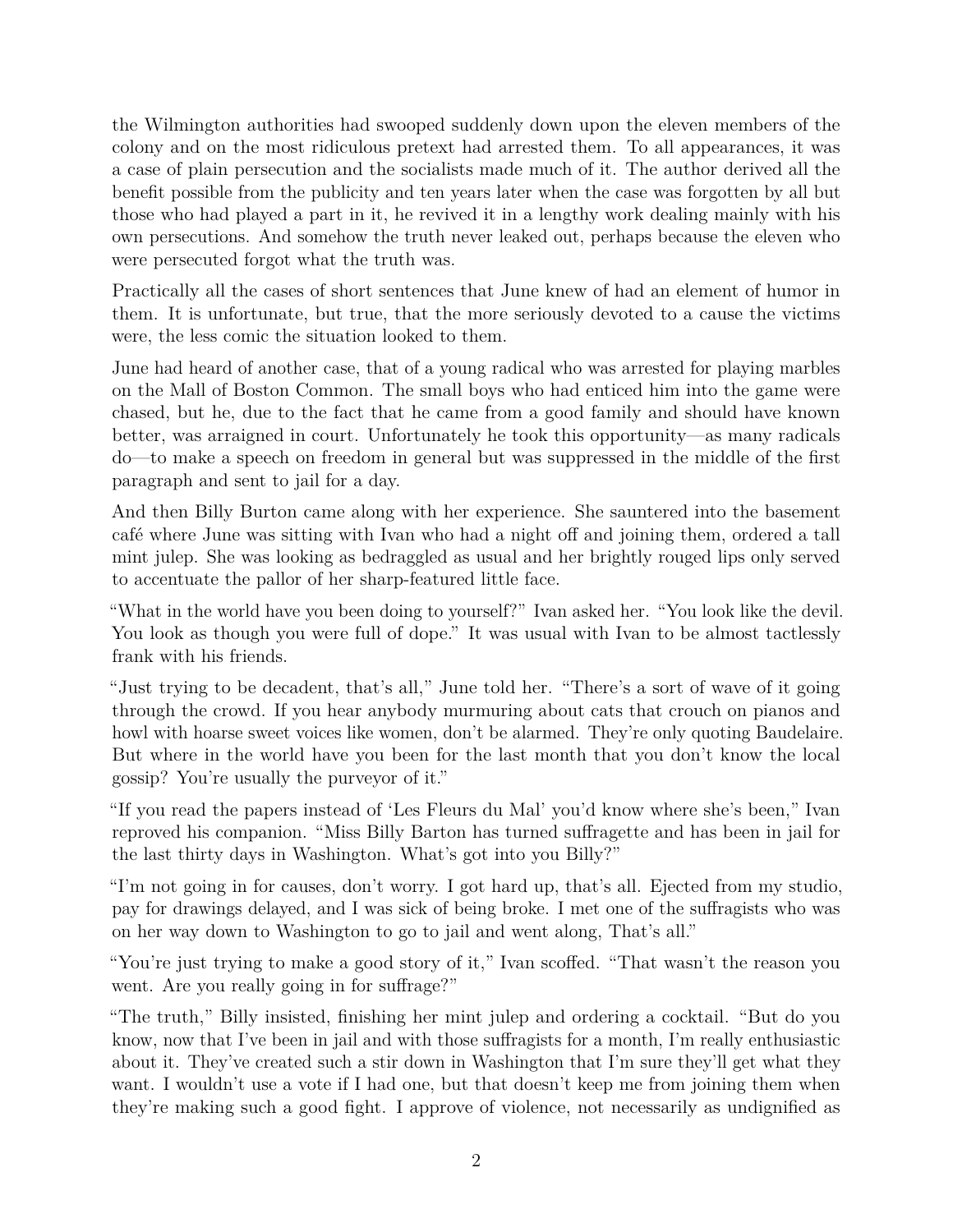the Wilmington authorities had swooped suddenly down upon the eleven members of the colony and on the most ridiculous pretext had arrested them. To all appearances, it was a case of plain persecution and the socialists made much of it. The author derived all the benefit possible from the publicity and ten years later when the case was forgotten by all but those who had played a part in it, he revived it in a lengthy work dealing mainly with his own persecutions. And somehow the truth never leaked out, perhaps because the eleven who were persecuted forgot what the truth was.

Practically all the cases of short sentences that June knew of had an element of humor in them. It is unfortunate, but true, that the more seriously devoted to a cause the victims were, the less comic the situation looked to them.

June had heard of another case, that of a young radical who was arrested for playing marbles on the Mall of Boston Common. The small boys who had enticed him into the game were chased, but he, due to the fact that he came from a good family and should have known better, was arraigned in court. Unfortunately he took this opportunity—as many radicals do—to make a speech on freedom in general but was suppressed in the middle of the first paragraph and sent to jail for a day.

And then Billy Burton came along with her experience. She sauntered into the basement café where June was sitting with Ivan who had a night off and joining them, ordered a tall mint julep. She was looking as bedraggled as usual and her brightly rouged lips only served to accentuate the pallor of her sharp-featured little face.

"What in the world have you been doing to yourself?" Ivan asked her. "You look like the devil. You look as though you were full of dope." It was usual with Ivan to be almost tactlessly frank with his friends.

"Just trying to be decadent, that's all," June told her. "There's a sort of wave of it going through the crowd. If you hear anybody murmuring about cats that crouch on pianos and howl with hoarse sweet voices like women, don't be alarmed. They're only quoting Baudelaire. But where in the world have you been for the last month that you don't know the local gossip? You're usually the purveyor of it."

"If you read the papers instead of 'Les Fleurs du Mal' you'd know where she's been," Ivan reproved his companion. "Miss Billy Barton has turned suffragette and has been in jail for the last thirty days in Washington. What's got into you Billy?"

"I'm not going in for causes, don't worry. I got hard up, that's all. Ejected from my studio, pay for drawings delayed, and I was sick of being broke. I met one of the suffragists who was on her way down to Washington to go to jail and went along, That's all."

"You're just trying to make a good story of it," Ivan scoffed. "That wasn't the reason you went. Are you really going in for suffrage?"

"The truth," Billy insisted, finishing her mint julep and ordering a cocktail. "But do you know, now that I've been in jail and with those suffragists for a month, I'm really enthusiastic about it. They've created such a stir down in Washington that I'm sure they'll get what they want. I wouldn't use a vote if I had one, but that doesn't keep me from joining them when they're making such a good fight. I approve of violence, not necessarily as undignified as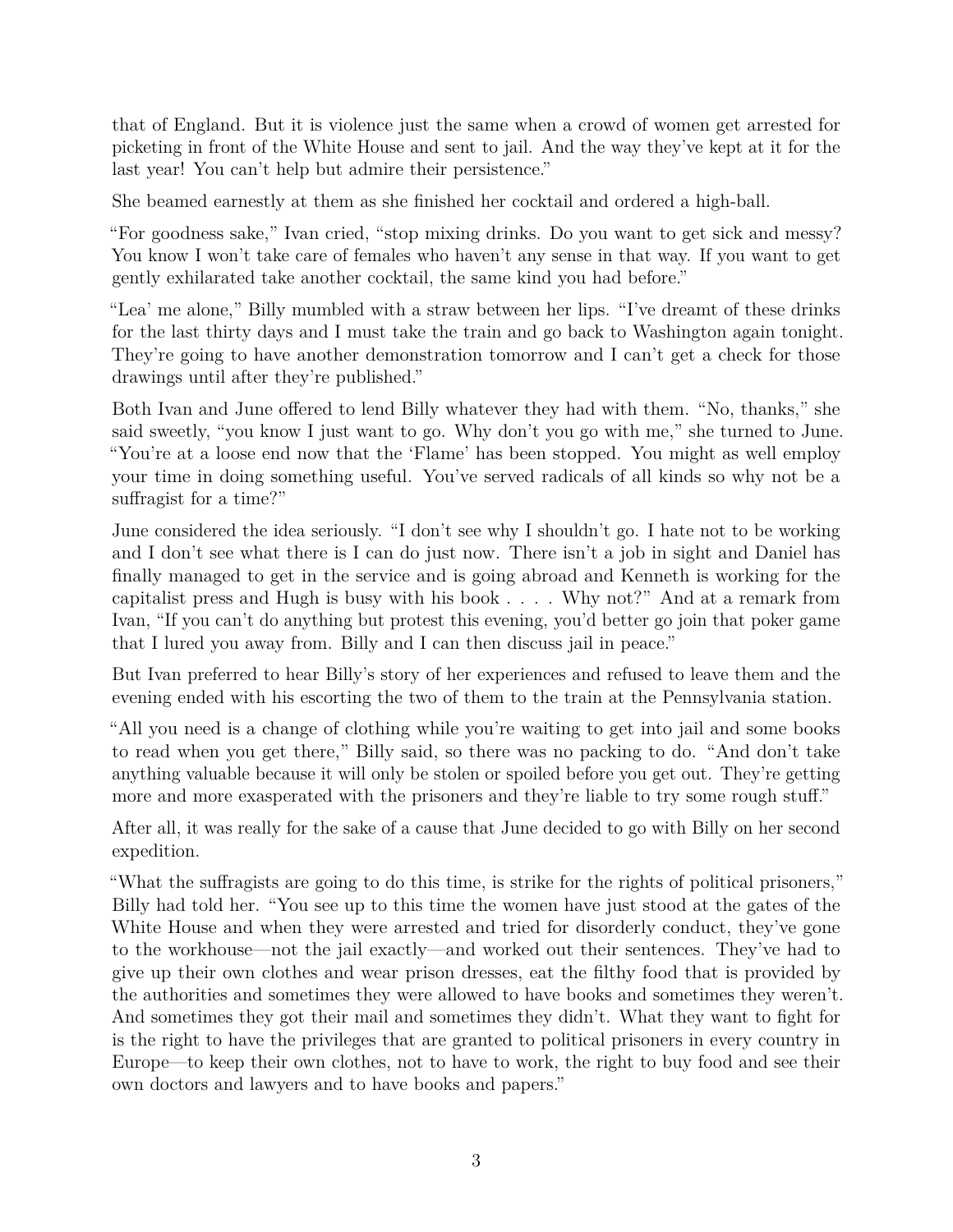that of England. But it is violence just the same when a crowd of women get arrested for picketing in front of the White House and sent to jail. And the way they've kept at it for the last year! You can't help but admire their persistence."

She beamed earnestly at them as she finished her cocktail and ordered a high-ball.

"For goodness sake," Ivan cried, "stop mixing drinks. Do you want to get sick and messy? You know I won't take care of females who haven't any sense in that way. If you want to get gently exhilarated take another cocktail, the same kind you had before."

"Lea' me alone," Billy mumbled with a straw between her lips. "I've dreamt of these drinks for the last thirty days and I must take the train and go back to Washington again tonight. They're going to have another demonstration tomorrow and I can't get a check for those drawings until after they're published."

Both Ivan and June offered to lend Billy whatever they had with them. "No, thanks," she said sweetly, "you know I just want to go. Why don't you go with me," she turned to June. "You're at a loose end now that the 'Flame' has been stopped. You might as well employ your time in doing something useful. You've served radicals of all kinds so why not be a suffragist for a time?"

June considered the idea seriously. "I don't see why I shouldn't go. I hate not to be working and I don't see what there is I can do just now. There isn't a job in sight and Daniel has finally managed to get in the service and is going abroad and Kenneth is working for the capitalist press and Hugh is busy with his book . . . . Why not?" And at a remark from Ivan, "If you can't do anything but protest this evening, you'd better go join that poker game that I lured you away from. Billy and I can then discuss jail in peace."

But Ivan preferred to hear Billy's story of her experiences and refused to leave them and the evening ended with his escorting the two of them to the train at the Pennsylvania station.

"All you need is a change of clothing while you're waiting to get into jail and some books to read when you get there," Billy said, so there was no packing to do. "And don't take anything valuable because it will only be stolen or spoiled before you get out. They're getting more and more exasperated with the prisoners and they're liable to try some rough stuff."

After all, it was really for the sake of a cause that June decided to go with Billy on her second expedition.

"What the suffragists are going to do this time, is strike for the rights of political prisoners," Billy had told her. "You see up to this time the women have just stood at the gates of the White House and when they were arrested and tried for disorderly conduct, they've gone to the workhouse—not the jail exactly—and worked out their sentences. They've had to give up their own clothes and wear prison dresses, eat the filthy food that is provided by the authorities and sometimes they were allowed to have books and sometimes they weren't. And sometimes they got their mail and sometimes they didn't. What they want to fight for is the right to have the privileges that are granted to political prisoners in every country in Europe—to keep their own clothes, not to have to work, the right to buy food and see their own doctors and lawyers and to have books and papers."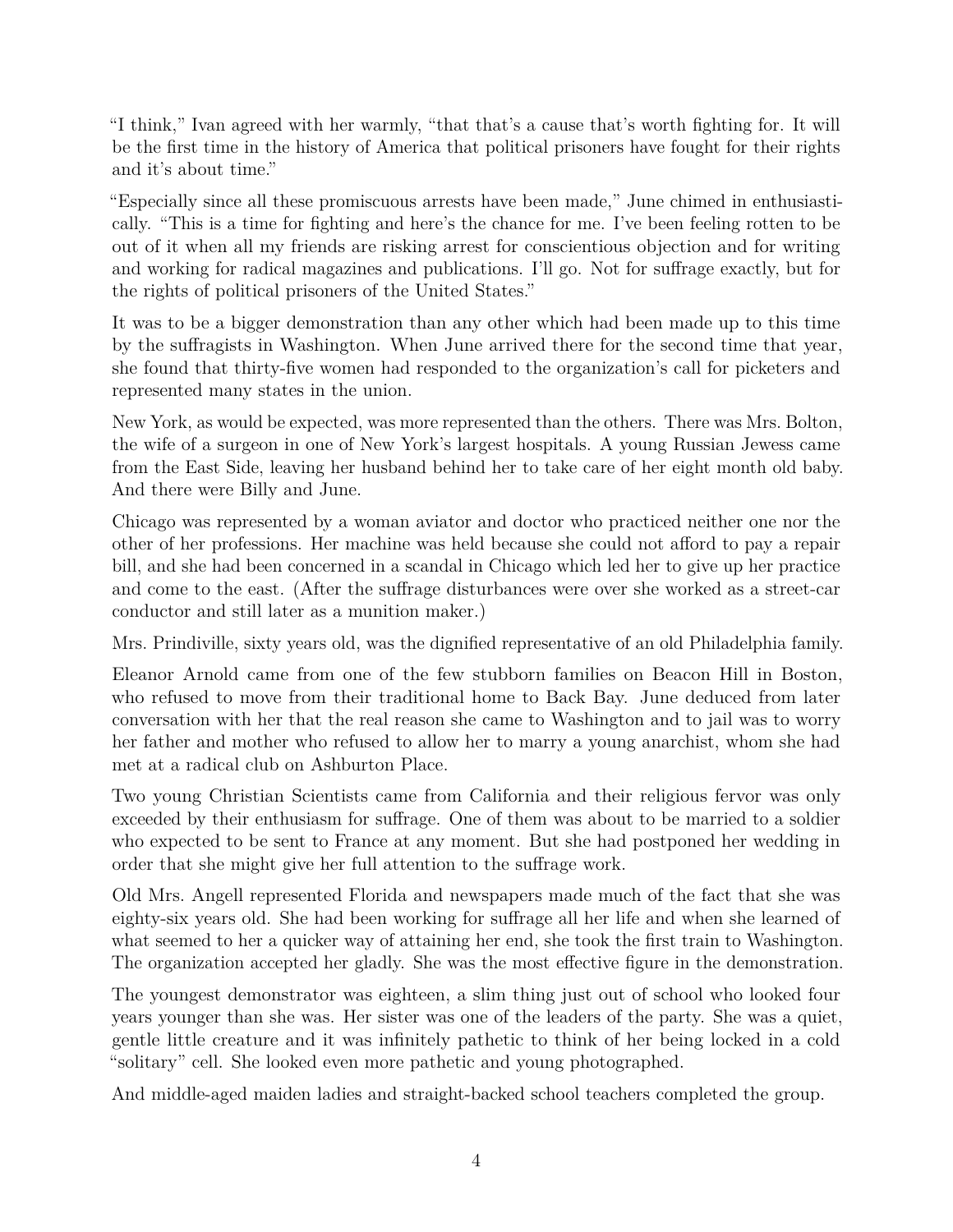"I think," Ivan agreed with her warmly, "that that's a cause that's worth fighting for. It will be the first time in the history of America that political prisoners have fought for their rights and it's about time."

"Especially since all these promiscuous arrests have been made," June chimed in enthusiastically. "This is a time for fighting and here's the chance for me. I've been feeling rotten to be out of it when all my friends are risking arrest for conscientious objection and for writing and working for radical magazines and publications. I'll go. Not for suffrage exactly, but for the rights of political prisoners of the United States."

It was to be a bigger demonstration than any other which had been made up to this time by the suffragists in Washington. When June arrived there for the second time that year, she found that thirty-five women had responded to the organization's call for picketers and represented many states in the union.

New York, as would be expected, was more represented than the others. There was Mrs. Bolton, the wife of a surgeon in one of New York's largest hospitals. A young Russian Jewess came from the East Side, leaving her husband behind her to take care of her eight month old baby. And there were Billy and June.

Chicago was represented by a woman aviator and doctor who practiced neither one nor the other of her professions. Her machine was held because she could not afford to pay a repair bill, and she had been concerned in a scandal in Chicago which led her to give up her practice and come to the east. (After the suffrage disturbances were over she worked as a street-car conductor and still later as a munition maker.)

Mrs. Prindiville, sixty years old, was the dignified representative of an old Philadelphia family.

Eleanor Arnold came from one of the few stubborn families on Beacon Hill in Boston, who refused to move from their traditional home to Back Bay. June deduced from later conversation with her that the real reason she came to Washington and to jail was to worry her father and mother who refused to allow her to marry a young anarchist, whom she had met at a radical club on Ashburton Place.

Two young Christian Scientists came from California and their religious fervor was only exceeded by their enthusiasm for suffrage. One of them was about to be married to a soldier who expected to be sent to France at any moment. But she had postponed her wedding in order that she might give her full attention to the suffrage work.

Old Mrs. Angell represented Florida and newspapers made much of the fact that she was eighty-six years old. She had been working for suffrage all her life and when she learned of what seemed to her a quicker way of attaining her end, she took the first train to Washington. The organization accepted her gladly. She was the most effective figure in the demonstration.

The youngest demonstrator was eighteen, a slim thing just out of school who looked four years younger than she was. Her sister was one of the leaders of the party. She was a quiet, gentle little creature and it was infinitely pathetic to think of her being locked in a cold "solitary" cell. She looked even more pathetic and young photographed.

And middle-aged maiden ladies and straight-backed school teachers completed the group.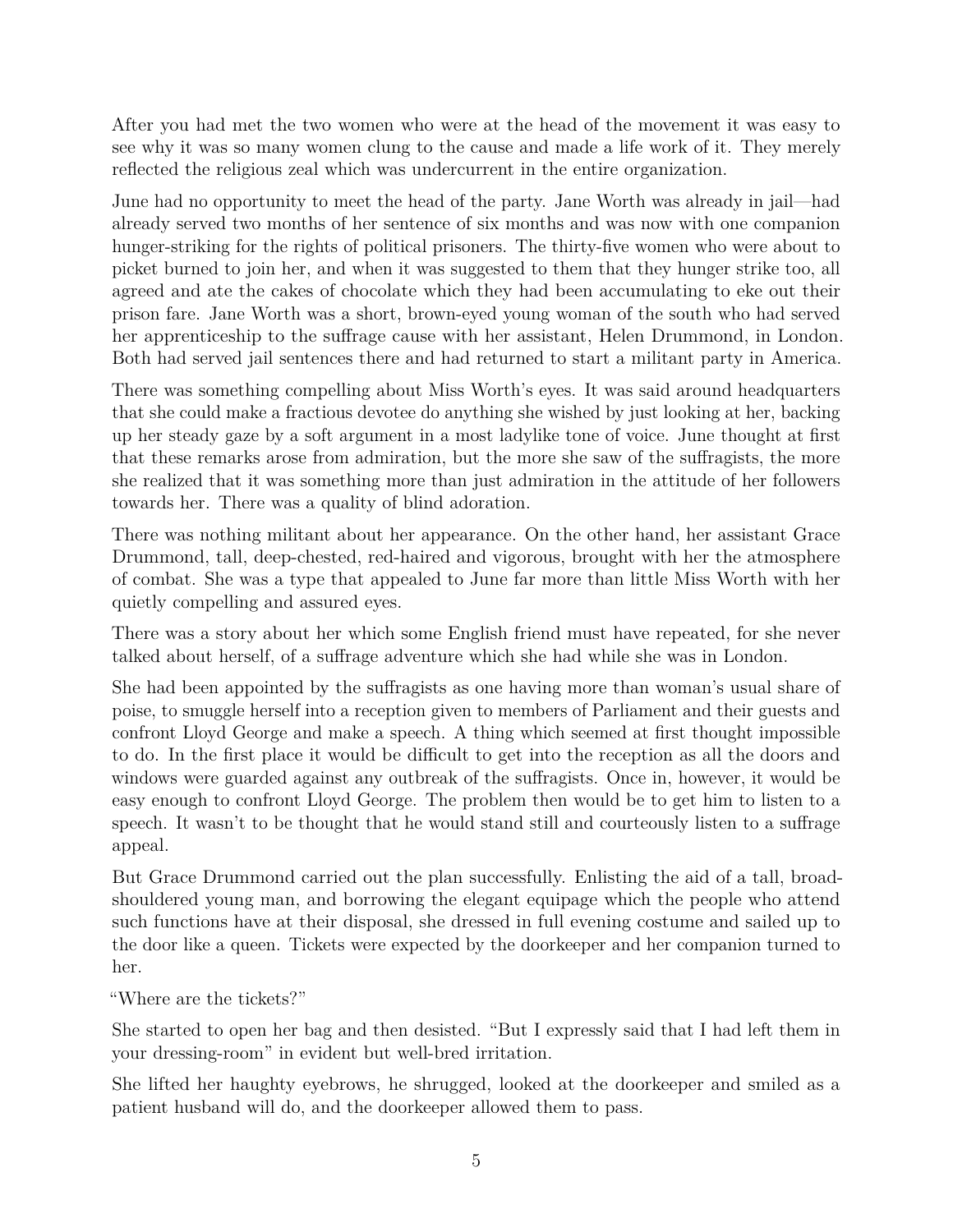After you had met the two women who were at the head of the movement it was easy to see why it was so many women clung to the cause and made a life work of it. They merely reflected the religious zeal which was undercurrent in the entire organization.

June had no opportunity to meet the head of the party. Jane Worth was already in jail—had already served two months of her sentence of six months and was now with one companion hunger-striking for the rights of political prisoners. The thirty-five women who were about to picket burned to join her, and when it was suggested to them that they hunger strike too, all agreed and ate the cakes of chocolate which they had been accumulating to eke out their prison fare. Jane Worth was a short, brown-eyed young woman of the south who had served her apprenticeship to the suffrage cause with her assistant, Helen Drummond, in London. Both had served jail sentences there and had returned to start a militant party in America.

There was something compelling about Miss Worth's eyes. It was said around headquarters that she could make a fractious devotee do anything she wished by just looking at her, backing up her steady gaze by a soft argument in a most ladylike tone of voice. June thought at first that these remarks arose from admiration, but the more she saw of the suffragists, the more she realized that it was something more than just admiration in the attitude of her followers towards her. There was a quality of blind adoration.

There was nothing militant about her appearance. On the other hand, her assistant Grace Drummond, tall, deep-chested, red-haired and vigorous, brought with her the atmosphere of combat. She was a type that appealed to June far more than little Miss Worth with her quietly compelling and assured eyes.

There was a story about her which some English friend must have repeated, for she never talked about herself, of a suffrage adventure which she had while she was in London.

She had been appointed by the suffragists as one having more than woman's usual share of poise, to smuggle herself into a reception given to members of Parliament and their guests and confront Lloyd George and make a speech. A thing which seemed at first thought impossible to do. In the first place it would be difficult to get into the reception as all the doors and windows were guarded against any outbreak of the suffragists. Once in, however, it would be easy enough to confront Lloyd George. The problem then would be to get him to listen to a speech. It wasn't to be thought that he would stand still and courteously listen to a suffrage appeal.

But Grace Drummond carried out the plan successfully. Enlisting the aid of a tall, broadshouldered young man, and borrowing the elegant equipage which the people who attend such functions have at their disposal, she dressed in full evening costume and sailed up to the door like a queen. Tickets were expected by the doorkeeper and her companion turned to her.

"Where are the tickets?"

She started to open her bag and then desisted. "But I expressly said that I had left them in your dressing-room" in evident but well-bred irritation.

She lifted her haughty eyebrows, he shrugged, looked at the doorkeeper and smiled as a patient husband will do, and the doorkeeper allowed them to pass.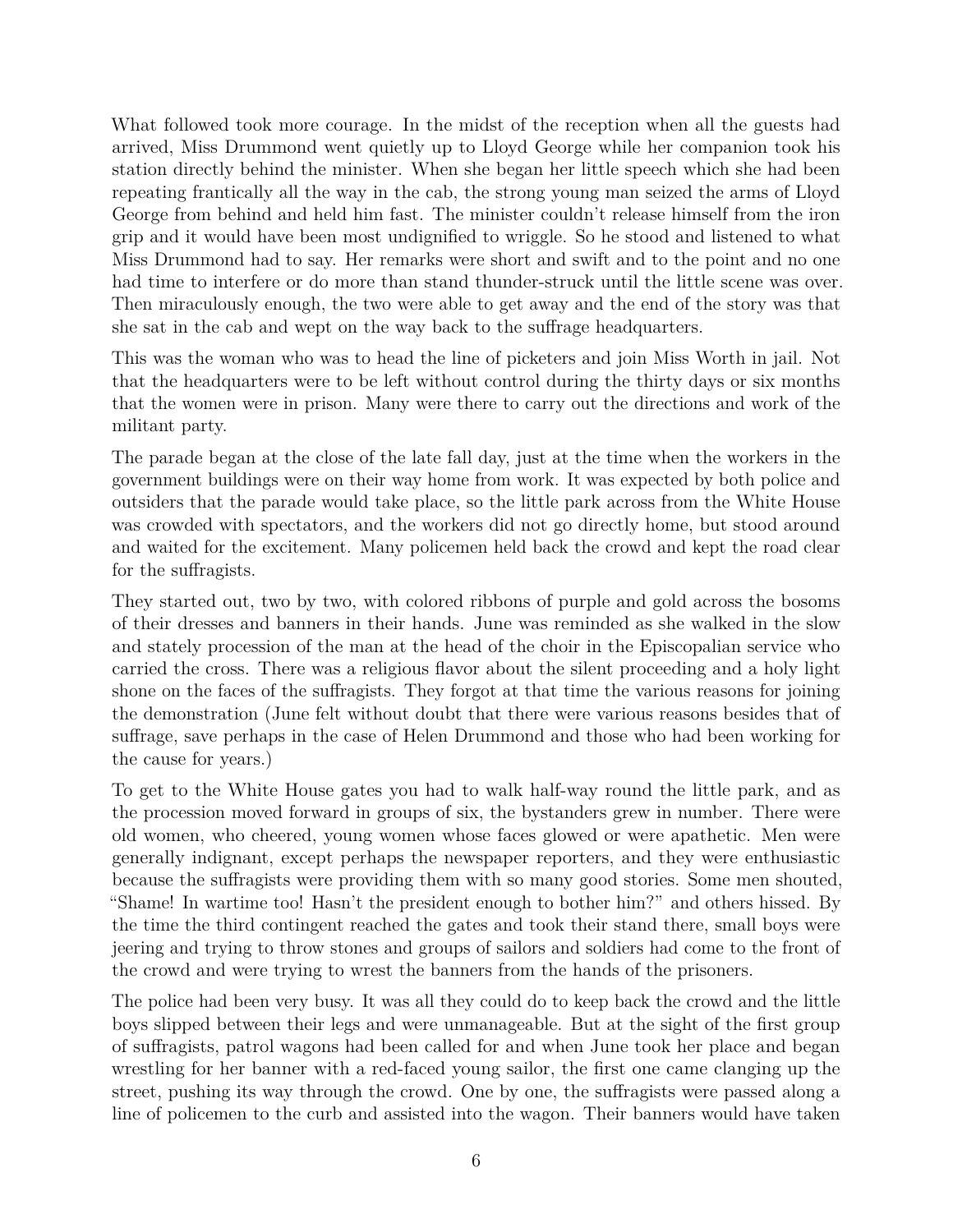What followed took more courage. In the midst of the reception when all the guests had arrived, Miss Drummond went quietly up to Lloyd George while her companion took his station directly behind the minister. When she began her little speech which she had been repeating frantically all the way in the cab, the strong young man seized the arms of Lloyd George from behind and held him fast. The minister couldn't release himself from the iron grip and it would have been most undignified to wriggle. So he stood and listened to what Miss Drummond had to say. Her remarks were short and swift and to the point and no one had time to interfere or do more than stand thunder-struck until the little scene was over. Then miraculously enough, the two were able to get away and the end of the story was that she sat in the cab and wept on the way back to the suffrage headquarters.

This was the woman who was to head the line of picketers and join Miss Worth in jail. Not that the headquarters were to be left without control during the thirty days or six months that the women were in prison. Many were there to carry out the directions and work of the militant party.

The parade began at the close of the late fall day, just at the time when the workers in the government buildings were on their way home from work. It was expected by both police and outsiders that the parade would take place, so the little park across from the White House was crowded with spectators, and the workers did not go directly home, but stood around and waited for the excitement. Many policemen held back the crowd and kept the road clear for the suffragists.

They started out, two by two, with colored ribbons of purple and gold across the bosoms of their dresses and banners in their hands. June was reminded as she walked in the slow and stately procession of the man at the head of the choir in the Episcopalian service who carried the cross. There was a religious flavor about the silent proceeding and a holy light shone on the faces of the suffragists. They forgot at that time the various reasons for joining the demonstration (June felt without doubt that there were various reasons besides that of suffrage, save perhaps in the case of Helen Drummond and those who had been working for the cause for years.)

To get to the White House gates you had to walk half-way round the little park, and as the procession moved forward in groups of six, the bystanders grew in number. There were old women, who cheered, young women whose faces glowed or were apathetic. Men were generally indignant, except perhaps the newspaper reporters, and they were enthusiastic because the suffragists were providing them with so many good stories. Some men shouted, "Shame! In wartime too! Hasn't the president enough to bother him?" and others hissed. By the time the third contingent reached the gates and took their stand there, small boys were jeering and trying to throw stones and groups of sailors and soldiers had come to the front of the crowd and were trying to wrest the banners from the hands of the prisoners.

The police had been very busy. It was all they could do to keep back the crowd and the little boys slipped between their legs and were unmanageable. But at the sight of the first group of suffragists, patrol wagons had been called for and when June took her place and began wrestling for her banner with a red-faced young sailor, the first one came clanging up the street, pushing its way through the crowd. One by one, the suffragists were passed along a line of policemen to the curb and assisted into the wagon. Their banners would have taken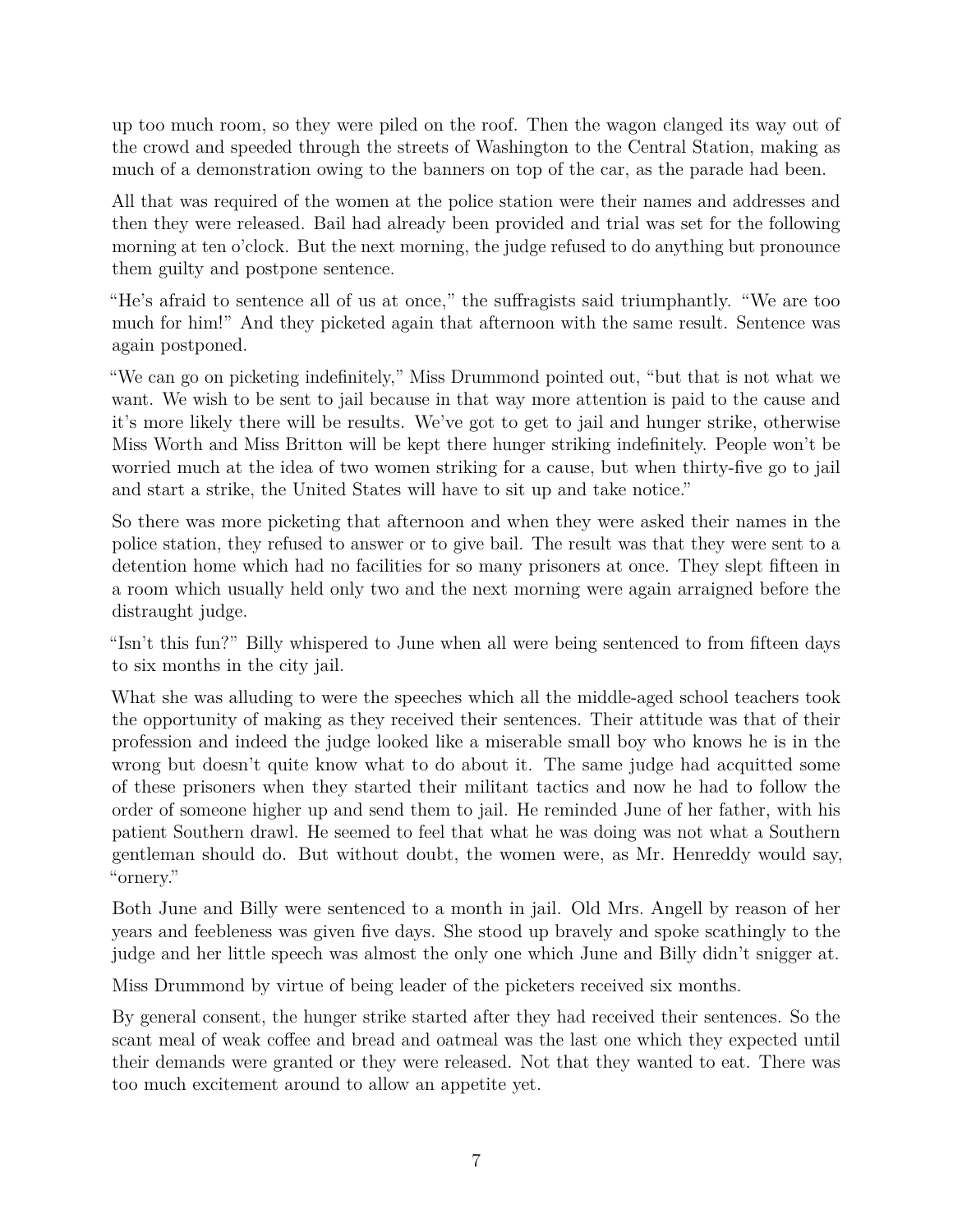up too much room, so they were piled on the roof. Then the wagon clanged its way out of the crowd and speeded through the streets of Washington to the Central Station, making as much of a demonstration owing to the banners on top of the car, as the parade had been.

All that was required of the women at the police station were their names and addresses and then they were released. Bail had already been provided and trial was set for the following morning at ten o'clock. But the next morning, the judge refused to do anything but pronounce them guilty and postpone sentence.

"He's afraid to sentence all of us at once," the suffragists said triumphantly. "We are too much for him!" And they picketed again that afternoon with the same result. Sentence was again postponed.

"We can go on picketing indefinitely," Miss Drummond pointed out, "but that is not what we want. We wish to be sent to jail because in that way more attention is paid to the cause and it's more likely there will be results. We've got to get to jail and hunger strike, otherwise Miss Worth and Miss Britton will be kept there hunger striking indefinitely. People won't be worried much at the idea of two women striking for a cause, but when thirty-five go to jail and start a strike, the United States will have to sit up and take notice."

So there was more picketing that afternoon and when they were asked their names in the police station, they refused to answer or to give bail. The result was that they were sent to a detention home which had no facilities for so many prisoners at once. They slept fifteen in a room which usually held only two and the next morning were again arraigned before the distraught judge.

"Isn't this fun?" Billy whispered to June when all were being sentenced to from fifteen days to six months in the city jail.

What she was alluding to were the speeches which all the middle-aged school teachers took the opportunity of making as they received their sentences. Their attitude was that of their profession and indeed the judge looked like a miserable small boy who knows he is in the wrong but doesn't quite know what to do about it. The same judge had acquitted some of these prisoners when they started their militant tactics and now he had to follow the order of someone higher up and send them to jail. He reminded June of her father, with his patient Southern drawl. He seemed to feel that what he was doing was not what a Southern gentleman should do. But without doubt, the women were, as Mr. Henreddy would say, "ornery."

Both June and Billy were sentenced to a month in jail. Old Mrs. Angell by reason of her years and feebleness was given five days. She stood up bravely and spoke scathingly to the judge and her little speech was almost the only one which June and Billy didn't snigger at.

Miss Drummond by virtue of being leader of the picketers received six months.

By general consent, the hunger strike started after they had received their sentences. So the scant meal of weak coffee and bread and oatmeal was the last one which they expected until their demands were granted or they were released. Not that they wanted to eat. There was too much excitement around to allow an appetite yet.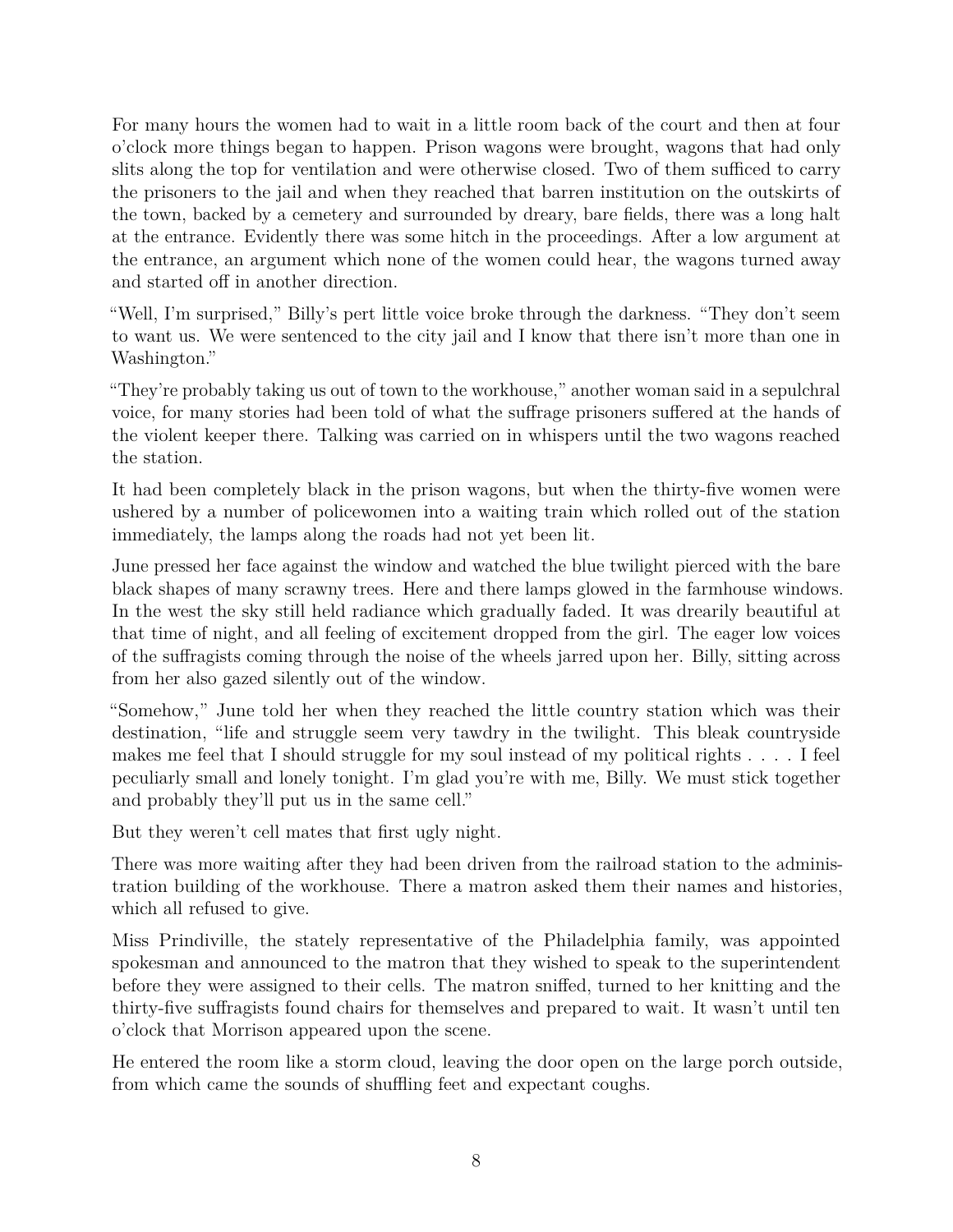For many hours the women had to wait in a little room back of the court and then at four o'clock more things began to happen. Prison wagons were brought, wagons that had only slits along the top for ventilation and were otherwise closed. Two of them sufficed to carry the prisoners to the jail and when they reached that barren institution on the outskirts of the town, backed by a cemetery and surrounded by dreary, bare fields, there was a long halt at the entrance. Evidently there was some hitch in the proceedings. After a low argument at the entrance, an argument which none of the women could hear, the wagons turned away and started off in another direction.

"Well, I'm surprised," Billy's pert little voice broke through the darkness. "They don't seem to want us. We were sentenced to the city jail and I know that there isn't more than one in Washington."

"They're probably taking us out of town to the workhouse," another woman said in a sepulchral voice, for many stories had been told of what the suffrage prisoners suffered at the hands of the violent keeper there. Talking was carried on in whispers until the two wagons reached the station.

It had been completely black in the prison wagons, but when the thirty-five women were ushered by a number of policewomen into a waiting train which rolled out of the station immediately, the lamps along the roads had not yet been lit.

June pressed her face against the window and watched the blue twilight pierced with the bare black shapes of many scrawny trees. Here and there lamps glowed in the farmhouse windows. In the west the sky still held radiance which gradually faded. It was drearily beautiful at that time of night, and all feeling of excitement dropped from the girl. The eager low voices of the suffragists coming through the noise of the wheels jarred upon her. Billy, sitting across from her also gazed silently out of the window.

"Somehow," June told her when they reached the little country station which was their destination, "life and struggle seem very tawdry in the twilight. This bleak countryside makes me feel that I should struggle for my soul instead of my political rights . . . . I feel peculiarly small and lonely tonight. I'm glad you're with me, Billy. We must stick together and probably they'll put us in the same cell."

But they weren't cell mates that first ugly night.

There was more waiting after they had been driven from the railroad station to the administration building of the workhouse. There a matron asked them their names and histories, which all refused to give.

Miss Prindiville, the stately representative of the Philadelphia family, was appointed spokesman and announced to the matron that they wished to speak to the superintendent before they were assigned to their cells. The matron sniffed, turned to her knitting and the thirty-five suffragists found chairs for themselves and prepared to wait. It wasn't until ten o'clock that Morrison appeared upon the scene.

He entered the room like a storm cloud, leaving the door open on the large porch outside, from which came the sounds of shuffling feet and expectant coughs.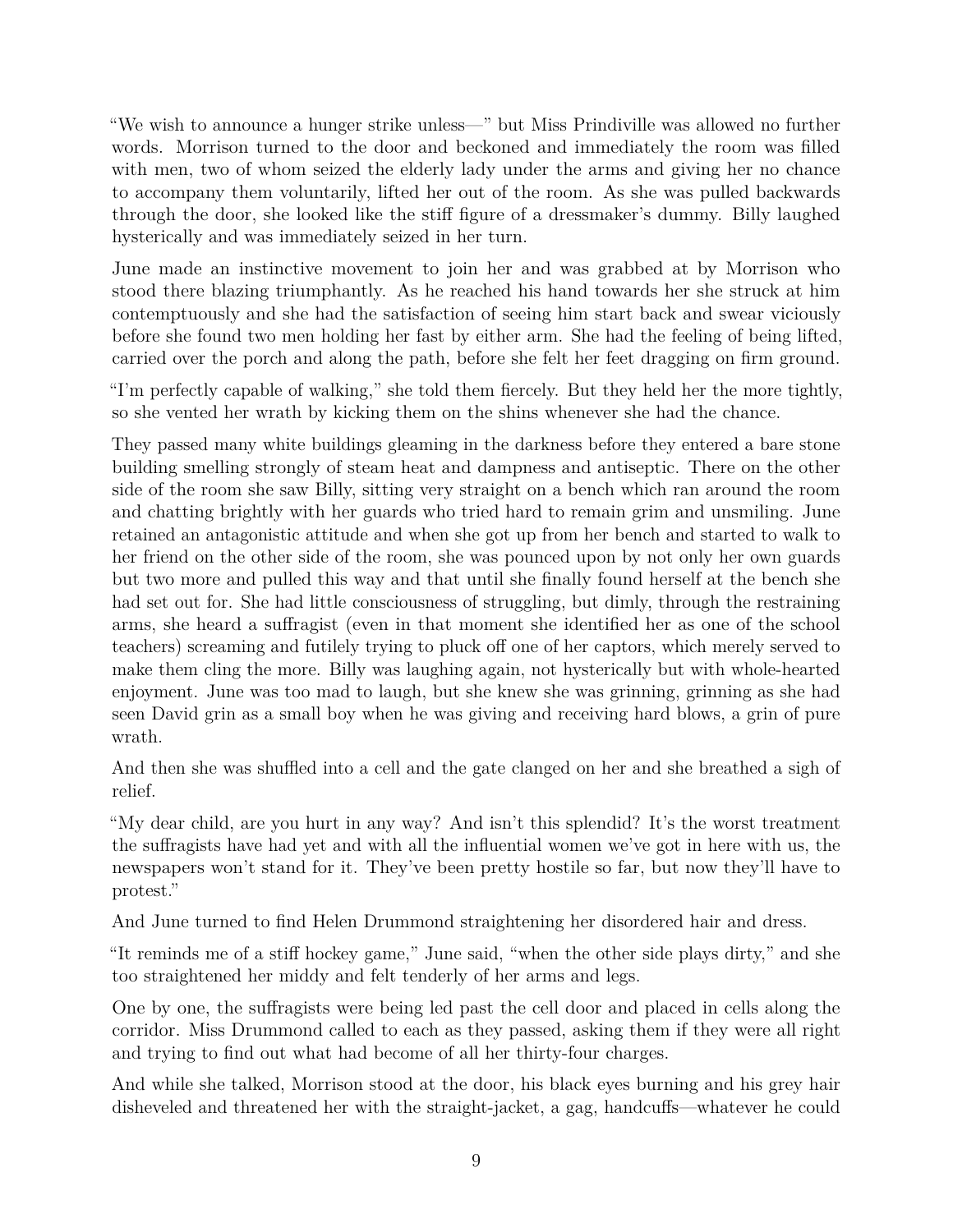"We wish to announce a hunger strike unless—" but Miss Prindiville was allowed no further words. Morrison turned to the door and beckoned and immediately the room was filled with men, two of whom seized the elderly lady under the arms and giving her no chance to accompany them voluntarily, lifted her out of the room. As she was pulled backwards through the door, she looked like the stiff figure of a dressmaker's dummy. Billy laughed hysterically and was immediately seized in her turn.

June made an instinctive movement to join her and was grabbed at by Morrison who stood there blazing triumphantly. As he reached his hand towards her she struck at him contemptuously and she had the satisfaction of seeing him start back and swear viciously before she found two men holding her fast by either arm. She had the feeling of being lifted, carried over the porch and along the path, before she felt her feet dragging on firm ground.

"I'm perfectly capable of walking," she told them fiercely. But they held her the more tightly, so she vented her wrath by kicking them on the shins whenever she had the chance.

They passed many white buildings gleaming in the darkness before they entered a bare stone building smelling strongly of steam heat and dampness and antiseptic. There on the other side of the room she saw Billy, sitting very straight on a bench which ran around the room and chatting brightly with her guards who tried hard to remain grim and unsmiling. June retained an antagonistic attitude and when she got up from her bench and started to walk to her friend on the other side of the room, she was pounced upon by not only her own guards but two more and pulled this way and that until she finally found herself at the bench she had set out for. She had little consciousness of struggling, but dimly, through the restraining arms, she heard a suffragist (even in that moment she identified her as one of the school teachers) screaming and futilely trying to pluck off one of her captors, which merely served to make them cling the more. Billy was laughing again, not hysterically but with whole-hearted enjoyment. June was too mad to laugh, but she knew she was grinning, grinning as she had seen David grin as a small boy when he was giving and receiving hard blows, a grin of pure wrath.

And then she was shuffled into a cell and the gate clanged on her and she breathed a sigh of relief.

"My dear child, are you hurt in any way? And isn't this splendid? It's the worst treatment the suffragists have had yet and with all the influential women we've got in here with us, the newspapers won't stand for it. They've been pretty hostile so far, but now they'll have to protest."

And June turned to find Helen Drummond straightening her disordered hair and dress.

"It reminds me of a stiff hockey game," June said, "when the other side plays dirty," and she too straightened her middy and felt tenderly of her arms and legs.

One by one, the suffragists were being led past the cell door and placed in cells along the corridor. Miss Drummond called to each as they passed, asking them if they were all right and trying to find out what had become of all her thirty-four charges.

And while she talked, Morrison stood at the door, his black eyes burning and his grey hair disheveled and threatened her with the straight-jacket, a gag, handcuffs—whatever he could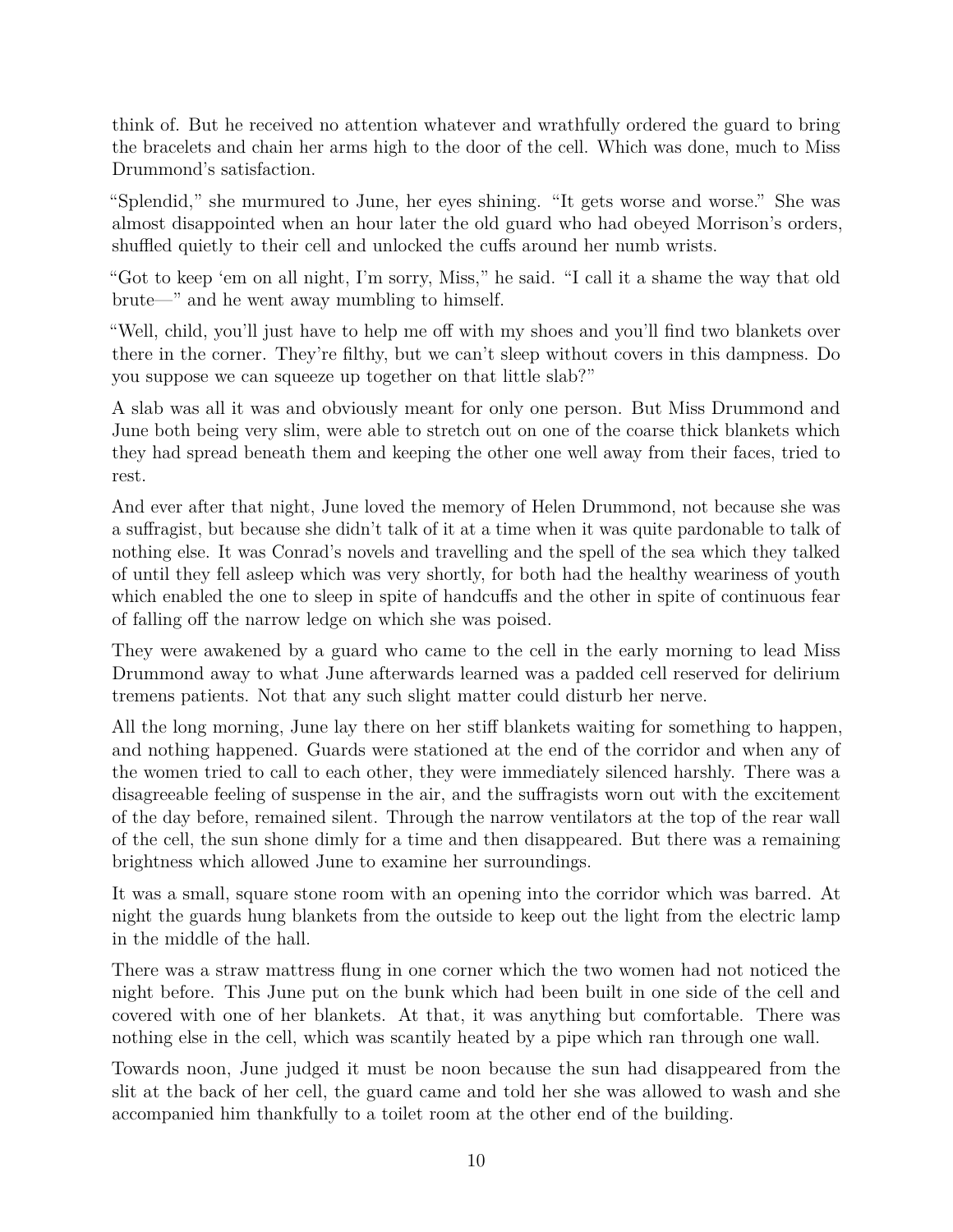think of. But he received no attention whatever and wrathfully ordered the guard to bring the bracelets and chain her arms high to the door of the cell. Which was done, much to Miss Drummond's satisfaction.

"Splendid," she murmured to June, her eyes shining. "It gets worse and worse." She was almost disappointed when an hour later the old guard who had obeyed Morrison's orders, shuffled quietly to their cell and unlocked the cuffs around her numb wrists.

"Got to keep 'em on all night, I'm sorry, Miss," he said. "I call it a shame the way that old brute—" and he went away mumbling to himself.

"Well, child, you'll just have to help me off with my shoes and you'll find two blankets over there in the corner. They're filthy, but we can't sleep without covers in this dampness. Do you suppose we can squeeze up together on that little slab?"

A slab was all it was and obviously meant for only one person. But Miss Drummond and June both being very slim, were able to stretch out on one of the coarse thick blankets which they had spread beneath them and keeping the other one well away from their faces, tried to rest.

And ever after that night, June loved the memory of Helen Drummond, not because she was a suffragist, but because she didn't talk of it at a time when it was quite pardonable to talk of nothing else. It was Conrad's novels and travelling and the spell of the sea which they talked of until they fell asleep which was very shortly, for both had the healthy weariness of youth which enabled the one to sleep in spite of handcuffs and the other in spite of continuous fear of falling off the narrow ledge on which she was poised.

They were awakened by a guard who came to the cell in the early morning to lead Miss Drummond away to what June afterwards learned was a padded cell reserved for delirium tremens patients. Not that any such slight matter could disturb her nerve.

All the long morning, June lay there on her stiff blankets waiting for something to happen, and nothing happened. Guards were stationed at the end of the corridor and when any of the women tried to call to each other, they were immediately silenced harshly. There was a disagreeable feeling of suspense in the air, and the suffragists worn out with the excitement of the day before, remained silent. Through the narrow ventilators at the top of the rear wall of the cell, the sun shone dimly for a time and then disappeared. But there was a remaining brightness which allowed June to examine her surroundings.

It was a small, square stone room with an opening into the corridor which was barred. At night the guards hung blankets from the outside to keep out the light from the electric lamp in the middle of the hall.

There was a straw mattress flung in one corner which the two women had not noticed the night before. This June put on the bunk which had been built in one side of the cell and covered with one of her blankets. At that, it was anything but comfortable. There was nothing else in the cell, which was scantily heated by a pipe which ran through one wall.

Towards noon, June judged it must be noon because the sun had disappeared from the slit at the back of her cell, the guard came and told her she was allowed to wash and she accompanied him thankfully to a toilet room at the other end of the building.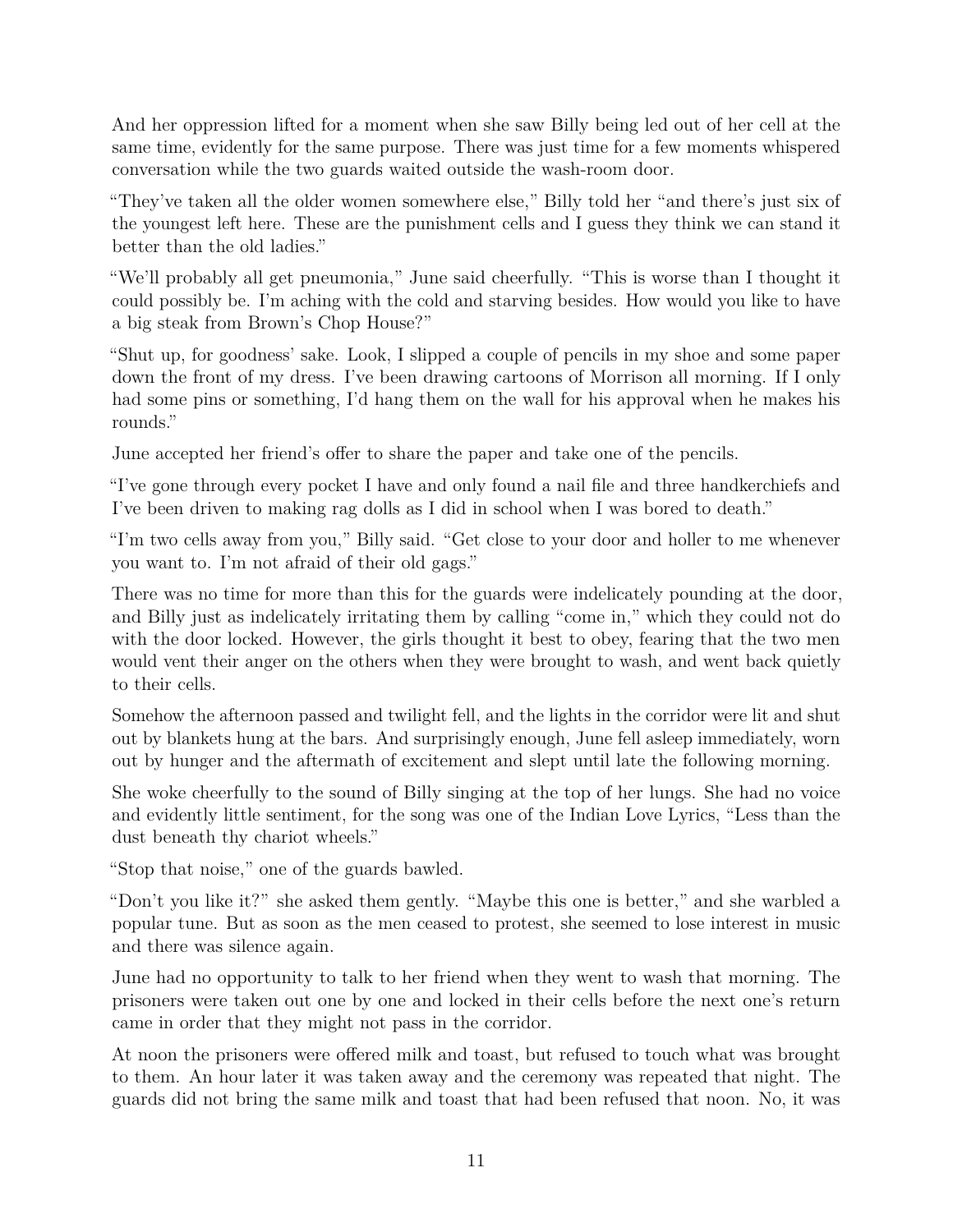And her oppression lifted for a moment when she saw Billy being led out of her cell at the same time, evidently for the same purpose. There was just time for a few moments whispered conversation while the two guards waited outside the wash-room door.

"They've taken all the older women somewhere else," Billy told her "and there's just six of the youngest left here. These are the punishment cells and I guess they think we can stand it better than the old ladies."

"We'll probably all get pneumonia," June said cheerfully. "This is worse than I thought it could possibly be. I'm aching with the cold and starving besides. How would you like to have a big steak from Brown's Chop House?"

"Shut up, for goodness' sake. Look, I slipped a couple of pencils in my shoe and some paper down the front of my dress. I've been drawing cartoons of Morrison all morning. If I only had some pins or something, I'd hang them on the wall for his approval when he makes his rounds."

June accepted her friend's offer to share the paper and take one of the pencils.

"I've gone through every pocket I have and only found a nail file and three handkerchiefs and I've been driven to making rag dolls as I did in school when I was bored to death."

"I'm two cells away from you," Billy said. "Get close to your door and holler to me whenever you want to. I'm not afraid of their old gags."

There was no time for more than this for the guards were indelicately pounding at the door, and Billy just as indelicately irritating them by calling "come in," which they could not do with the door locked. However, the girls thought it best to obey, fearing that the two men would vent their anger on the others when they were brought to wash, and went back quietly to their cells.

Somehow the afternoon passed and twilight fell, and the lights in the corridor were lit and shut out by blankets hung at the bars. And surprisingly enough, June fell asleep immediately, worn out by hunger and the aftermath of excitement and slept until late the following morning.

She woke cheerfully to the sound of Billy singing at the top of her lungs. She had no voice and evidently little sentiment, for the song was one of the Indian Love Lyrics, "Less than the dust beneath thy chariot wheels."

"Stop that noise," one of the guards bawled.

"Don't you like it?" she asked them gently. "Maybe this one is better," and she warbled a popular tune. But as soon as the men ceased to protest, she seemed to lose interest in music and there was silence again.

June had no opportunity to talk to her friend when they went to wash that morning. The prisoners were taken out one by one and locked in their cells before the next one's return came in order that they might not pass in the corridor.

At noon the prisoners were offered milk and toast, but refused to touch what was brought to them. An hour later it was taken away and the ceremony was repeated that night. The guards did not bring the same milk and toast that had been refused that noon. No, it was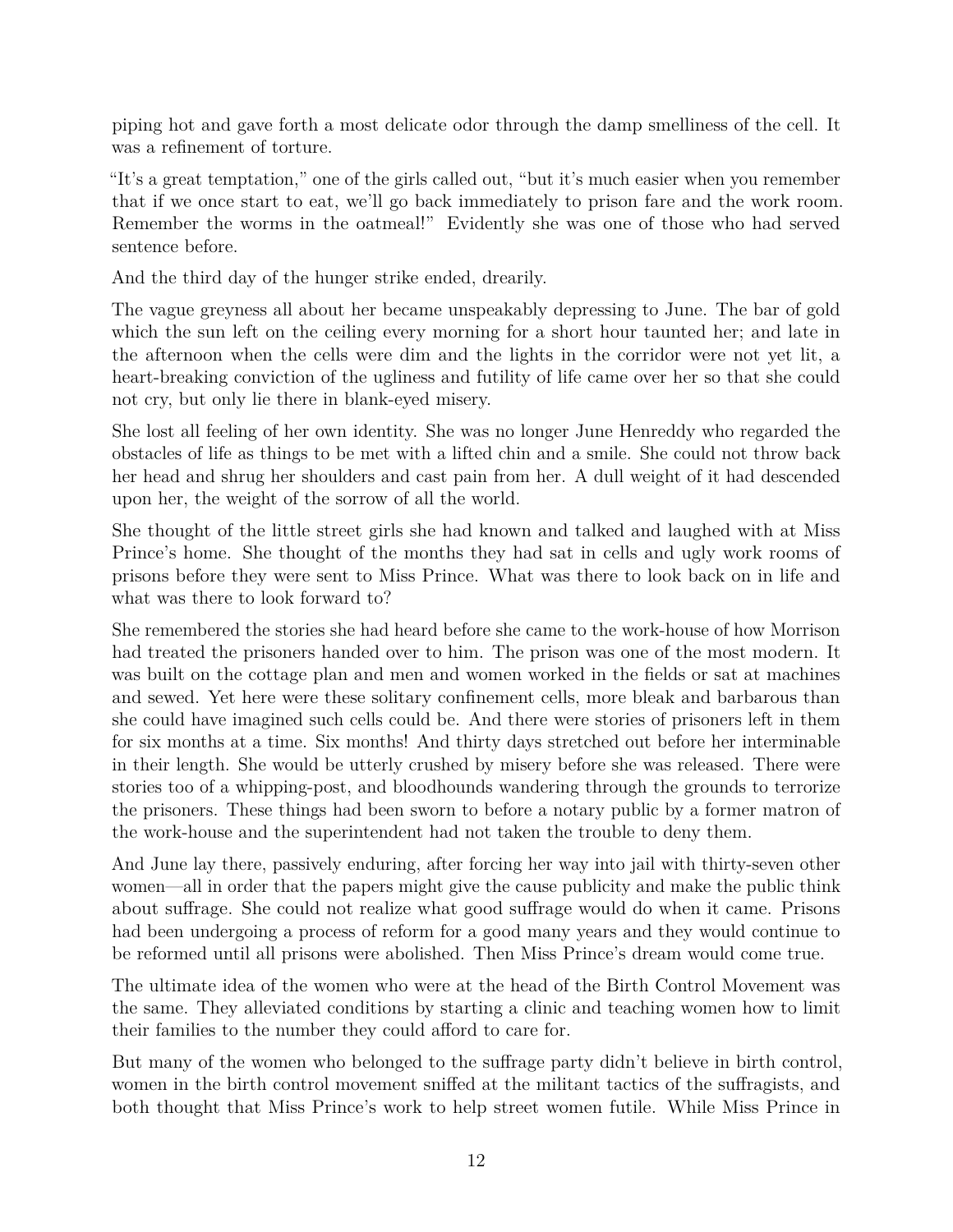piping hot and gave forth a most delicate odor through the damp smelliness of the cell. It was a refinement of torture.

"It's a great temptation," one of the girls called out, "but it's much easier when you remember that if we once start to eat, we'll go back immediately to prison fare and the work room. Remember the worms in the oatmeal!" Evidently she was one of those who had served sentence before.

And the third day of the hunger strike ended, drearily.

The vague greyness all about her became unspeakably depressing to June. The bar of gold which the sun left on the ceiling every morning for a short hour taunted her; and late in the afternoon when the cells were dim and the lights in the corridor were not yet lit, a heart-breaking conviction of the ugliness and futility of life came over her so that she could not cry, but only lie there in blank-eyed misery.

She lost all feeling of her own identity. She was no longer June Henreddy who regarded the obstacles of life as things to be met with a lifted chin and a smile. She could not throw back her head and shrug her shoulders and cast pain from her. A dull weight of it had descended upon her, the weight of the sorrow of all the world.

She thought of the little street girls she had known and talked and laughed with at Miss Prince's home. She thought of the months they had sat in cells and ugly work rooms of prisons before they were sent to Miss Prince. What was there to look back on in life and what was there to look forward to?

She remembered the stories she had heard before she came to the work-house of how Morrison had treated the prisoners handed over to him. The prison was one of the most modern. It was built on the cottage plan and men and women worked in the fields or sat at machines and sewed. Yet here were these solitary confinement cells, more bleak and barbarous than she could have imagined such cells could be. And there were stories of prisoners left in them for six months at a time. Six months! And thirty days stretched out before her interminable in their length. She would be utterly crushed by misery before she was released. There were stories too of a whipping-post, and bloodhounds wandering through the grounds to terrorize the prisoners. These things had been sworn to before a notary public by a former matron of the work-house and the superintendent had not taken the trouble to deny them.

And June lay there, passively enduring, after forcing her way into jail with thirty-seven other women—all in order that the papers might give the cause publicity and make the public think about suffrage. She could not realize what good suffrage would do when it came. Prisons had been undergoing a process of reform for a good many years and they would continue to be reformed until all prisons were abolished. Then Miss Prince's dream would come true.

The ultimate idea of the women who were at the head of the Birth Control Movement was the same. They alleviated conditions by starting a clinic and teaching women how to limit their families to the number they could afford to care for.

But many of the women who belonged to the suffrage party didn't believe in birth control, women in the birth control movement sniffed at the militant tactics of the suffragists, and both thought that Miss Prince's work to help street women futile. While Miss Prince in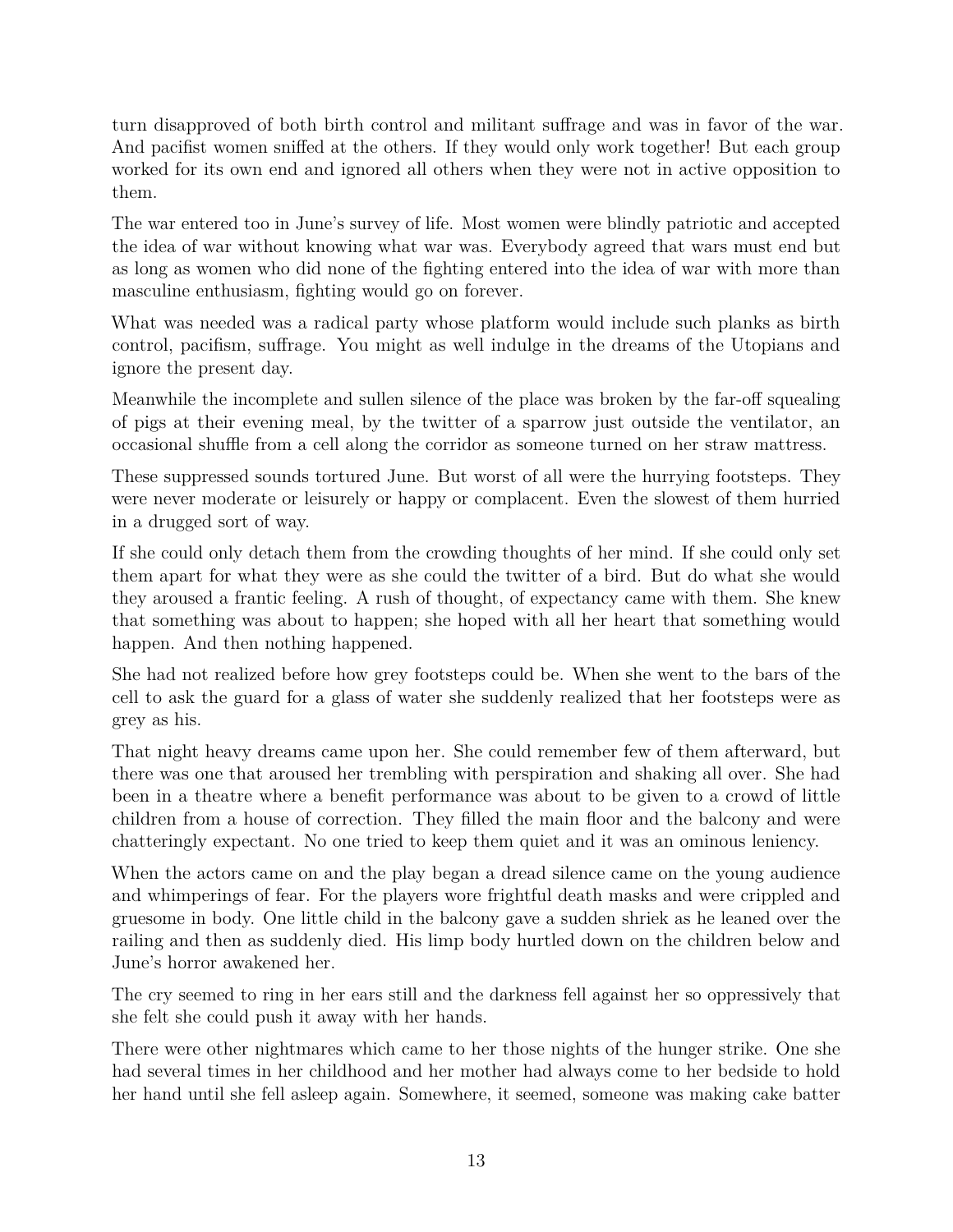turn disapproved of both birth control and militant suffrage and was in favor of the war. And pacifist women sniffed at the others. If they would only work together! But each group worked for its own end and ignored all others when they were not in active opposition to them.

The war entered too in June's survey of life. Most women were blindly patriotic and accepted the idea of war without knowing what war was. Everybody agreed that wars must end but as long as women who did none of the fighting entered into the idea of war with more than masculine enthusiasm, fighting would go on forever.

What was needed was a radical party whose platform would include such planks as birth control, pacifism, suffrage. You might as well indulge in the dreams of the Utopians and ignore the present day.

Meanwhile the incomplete and sullen silence of the place was broken by the far-off squealing of pigs at their evening meal, by the twitter of a sparrow just outside the ventilator, an occasional shuffle from a cell along the corridor as someone turned on her straw mattress.

These suppressed sounds tortured June. But worst of all were the hurrying footsteps. They were never moderate or leisurely or happy or complacent. Even the slowest of them hurried in a drugged sort of way.

If she could only detach them from the crowding thoughts of her mind. If she could only set them apart for what they were as she could the twitter of a bird. But do what she would they aroused a frantic feeling. A rush of thought, of expectancy came with them. She knew that something was about to happen; she hoped with all her heart that something would happen. And then nothing happened.

She had not realized before how grey footsteps could be. When she went to the bars of the cell to ask the guard for a glass of water she suddenly realized that her footsteps were as grey as his.

That night heavy dreams came upon her. She could remember few of them afterward, but there was one that aroused her trembling with perspiration and shaking all over. She had been in a theatre where a benefit performance was about to be given to a crowd of little children from a house of correction. They filled the main floor and the balcony and were chatteringly expectant. No one tried to keep them quiet and it was an ominous leniency.

When the actors came on and the play began a dread silence came on the young audience and whimperings of fear. For the players wore frightful death masks and were crippled and gruesome in body. One little child in the balcony gave a sudden shriek as he leaned over the railing and then as suddenly died. His limp body hurtled down on the children below and June's horror awakened her.

The cry seemed to ring in her ears still and the darkness fell against her so oppressively that she felt she could push it away with her hands.

There were other nightmares which came to her those nights of the hunger strike. One she had several times in her childhood and her mother had always come to her bedside to hold her hand until she fell asleep again. Somewhere, it seemed, someone was making cake batter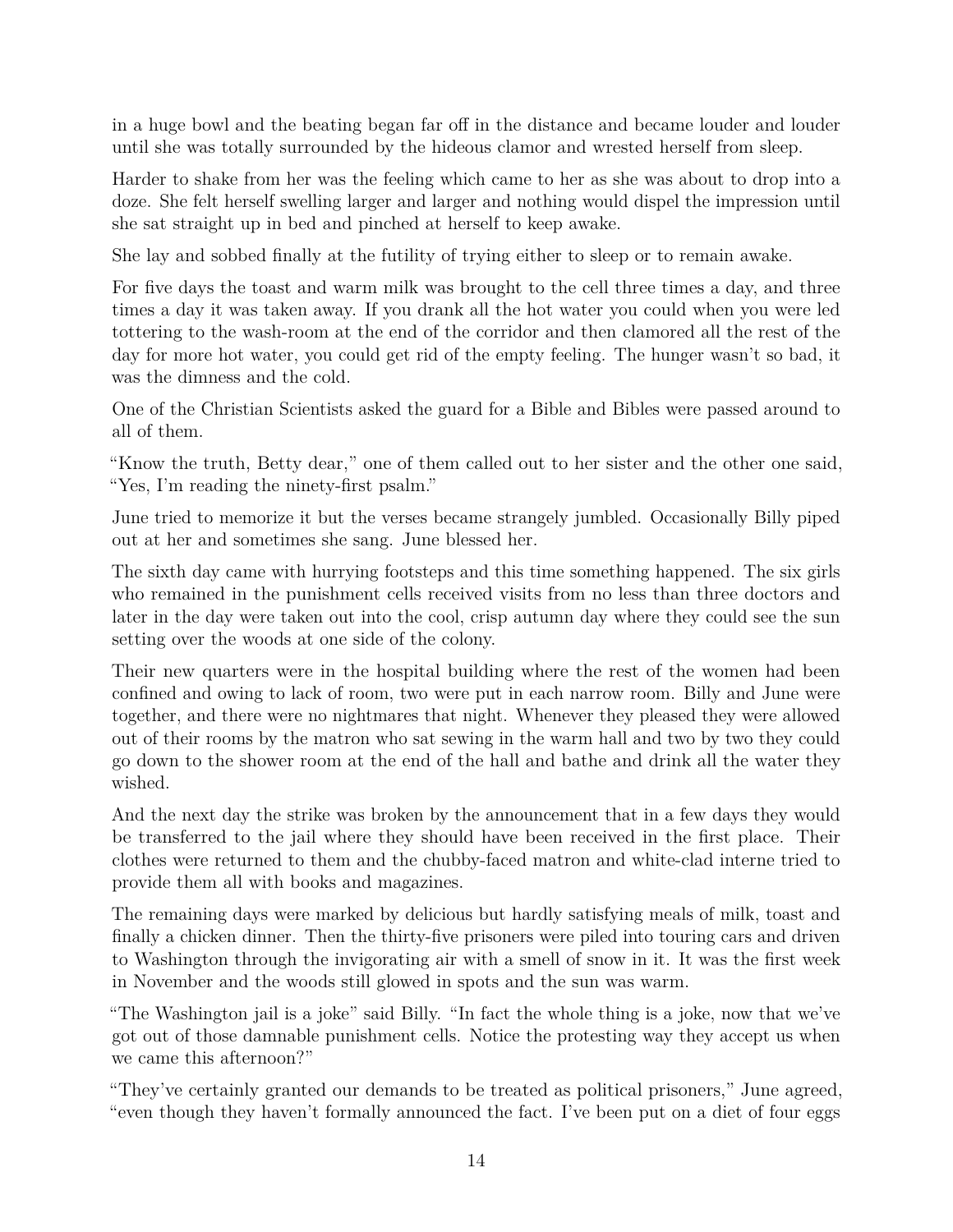in a huge bowl and the beating began far off in the distance and became louder and louder until she was totally surrounded by the hideous clamor and wrested herself from sleep.

Harder to shake from her was the feeling which came to her as she was about to drop into a doze. She felt herself swelling larger and larger and nothing would dispel the impression until she sat straight up in bed and pinched at herself to keep awake.

She lay and sobbed finally at the futility of trying either to sleep or to remain awake.

For five days the toast and warm milk was brought to the cell three times a day, and three times a day it was taken away. If you drank all the hot water you could when you were led tottering to the wash-room at the end of the corridor and then clamored all the rest of the day for more hot water, you could get rid of the empty feeling. The hunger wasn't so bad, it was the dimness and the cold.

One of the Christian Scientists asked the guard for a Bible and Bibles were passed around to all of them.

"Know the truth, Betty dear," one of them called out to her sister and the other one said, "Yes, I'm reading the ninety-first psalm."

June tried to memorize it but the verses became strangely jumbled. Occasionally Billy piped out at her and sometimes she sang. June blessed her.

The sixth day came with hurrying footsteps and this time something happened. The six girls who remained in the punishment cells received visits from no less than three doctors and later in the day were taken out into the cool, crisp autumn day where they could see the sun setting over the woods at one side of the colony.

Their new quarters were in the hospital building where the rest of the women had been confined and owing to lack of room, two were put in each narrow room. Billy and June were together, and there were no nightmares that night. Whenever they pleased they were allowed out of their rooms by the matron who sat sewing in the warm hall and two by two they could go down to the shower room at the end of the hall and bathe and drink all the water they wished.

And the next day the strike was broken by the announcement that in a few days they would be transferred to the jail where they should have been received in the first place. Their clothes were returned to them and the chubby-faced matron and white-clad interne tried to provide them all with books and magazines.

The remaining days were marked by delicious but hardly satisfying meals of milk, toast and finally a chicken dinner. Then the thirty-five prisoners were piled into touring cars and driven to Washington through the invigorating air with a smell of snow in it. It was the first week in November and the woods still glowed in spots and the sun was warm.

"The Washington jail is a joke" said Billy. "In fact the whole thing is a joke, now that we've got out of those damnable punishment cells. Notice the protesting way they accept us when we came this afternoon?"

"They've certainly granted our demands to be treated as political prisoners," June agreed, "even though they haven't formally announced the fact. I've been put on a diet of four eggs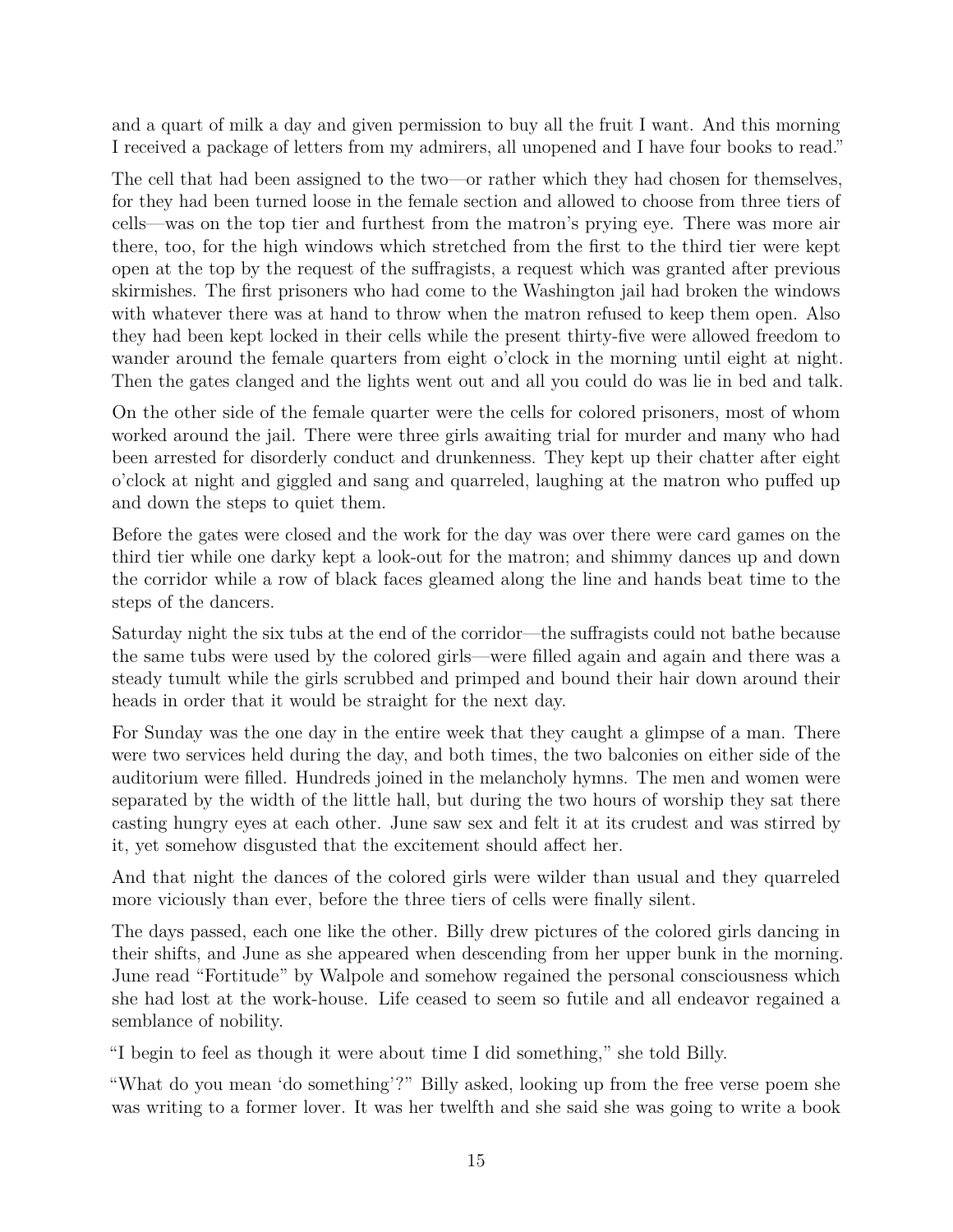and a quart of milk a day and given permission to buy all the fruit I want. And this morning I received a package of letters from my admirers, all unopened and I have four books to read."

The cell that had been assigned to the two—or rather which they had chosen for themselves, for they had been turned loose in the female section and allowed to choose from three tiers of cells—was on the top tier and furthest from the matron's prying eye. There was more air there, too, for the high windows which stretched from the first to the third tier were kept open at the top by the request of the suffragists, a request which was granted after previous skirmishes. The first prisoners who had come to the Washington jail had broken the windows with whatever there was at hand to throw when the matron refused to keep them open. Also they had been kept locked in their cells while the present thirty-five were allowed freedom to wander around the female quarters from eight o'clock in the morning until eight at night. Then the gates clanged and the lights went out and all you could do was lie in bed and talk.

On the other side of the female quarter were the cells for colored prisoners, most of whom worked around the jail. There were three girls awaiting trial for murder and many who had been arrested for disorderly conduct and drunkenness. They kept up their chatter after eight o'clock at night and giggled and sang and quarreled, laughing at the matron who puffed up and down the steps to quiet them.

Before the gates were closed and the work for the day was over there were card games on the third tier while one darky kept a look-out for the matron; and shimmy dances up and down the corridor while a row of black faces gleamed along the line and hands beat time to the steps of the dancers.

Saturday night the six tubs at the end of the corridor—the suffragists could not bathe because the same tubs were used by the colored girls—were filled again and again and there was a steady tumult while the girls scrubbed and primped and bound their hair down around their heads in order that it would be straight for the next day.

For Sunday was the one day in the entire week that they caught a glimpse of a man. There were two services held during the day, and both times, the two balconies on either side of the auditorium were filled. Hundreds joined in the melancholy hymns. The men and women were separated by the width of the little hall, but during the two hours of worship they sat there casting hungry eyes at each other. June saw sex and felt it at its crudest and was stirred by it, yet somehow disgusted that the excitement should affect her.

And that night the dances of the colored girls were wilder than usual and they quarreled more viciously than ever, before the three tiers of cells were finally silent.

The days passed, each one like the other. Billy drew pictures of the colored girls dancing in their shifts, and June as she appeared when descending from her upper bunk in the morning. June read "Fortitude" by Walpole and somehow regained the personal consciousness which she had lost at the work-house. Life ceased to seem so futile and all endeavor regained a semblance of nobility.

"I begin to feel as though it were about time I did something," she told Billy.

"What do you mean 'do something'?" Billy asked, looking up from the free verse poem she was writing to a former lover. It was her twelfth and she said she was going to write a book